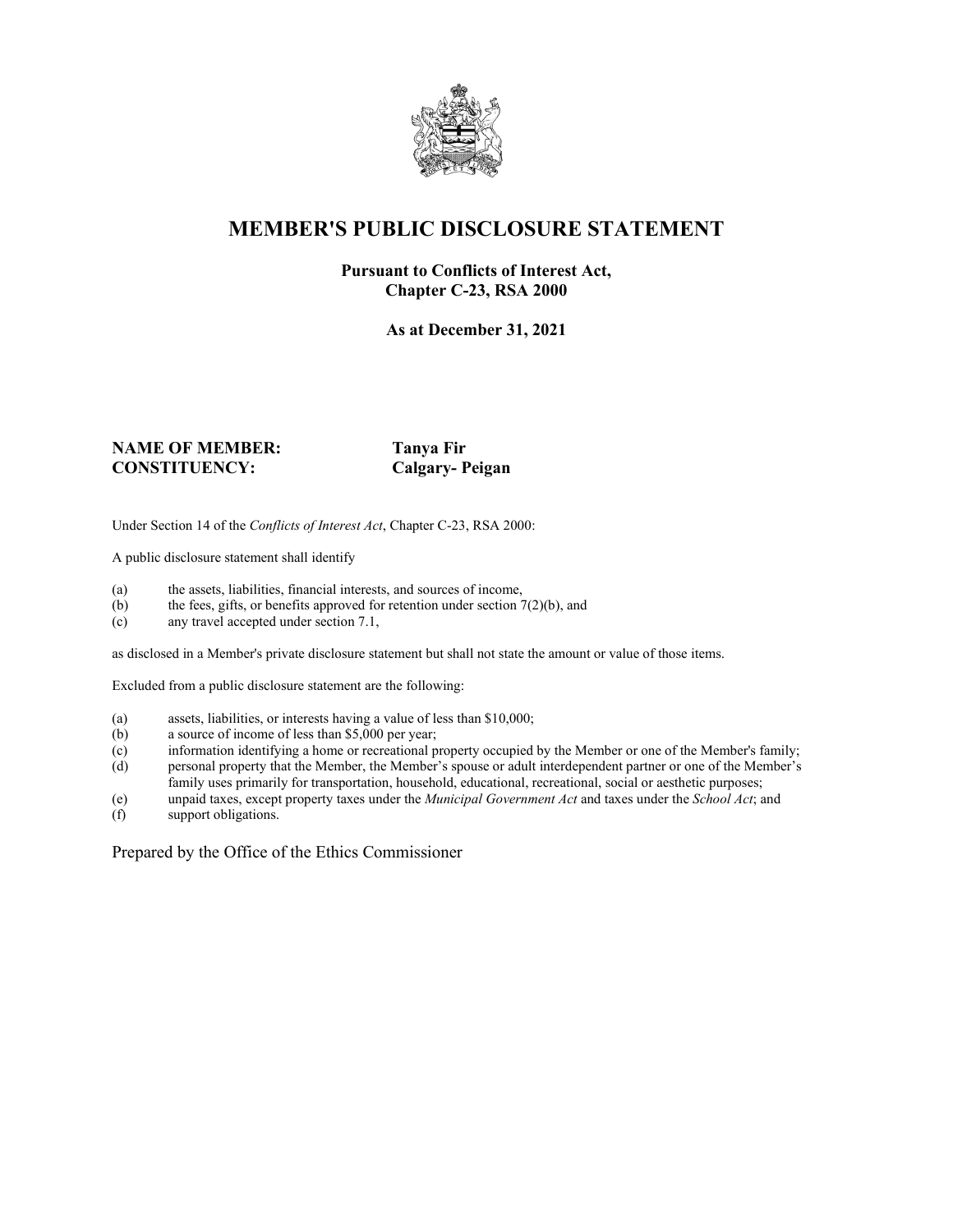

## **MEMBER'S PUBLIC DISCLOSURE STATEMENT**

### **Pursuant to Conflicts of Interest Act, Chapter C-23, RSA 2000**

**As at December 31, 2021**

#### **NAME OF MEMBER: Tanya Fir CONSTITUENCY: Calgary- Peigan**

Under Section 14 of the *Conflicts of Interest Act*, Chapter C-23, RSA 2000:

A public disclosure statement shall identify

- (a) the assets, liabilities, financial interests, and sources of income,  $(b)$  the fees, gifts, or benefits approved for retention under section 7
- the fees, gifts, or benefits approved for retention under section  $7(2)(b)$ , and
- (c) any travel accepted under section 7.1,

as disclosed in a Member's private disclosure statement but shall not state the amount or value of those items.

Excluded from a public disclosure statement are the following:

- (a) assets, liabilities, or interests having a value of less than \$10,000;<br>(b) a source of income of less than \$5,000 per year;
- a source of income of less than  $$5,000$  per year;
- (c) information identifying a home or recreational property occupied by the Member or one of the Member's family;
- (d) personal property that the Member, the Member's spouse or adult interdependent partner or one of the Member's family uses primarily for transportation, household, educational, recreational, social or aesthetic purposes;
- (e) unpaid taxes, except property taxes under the *Municipal Government Act* and taxes under the *School Act*; and
- (f) support obligations.

Prepared by the Office of the Ethics Commissioner